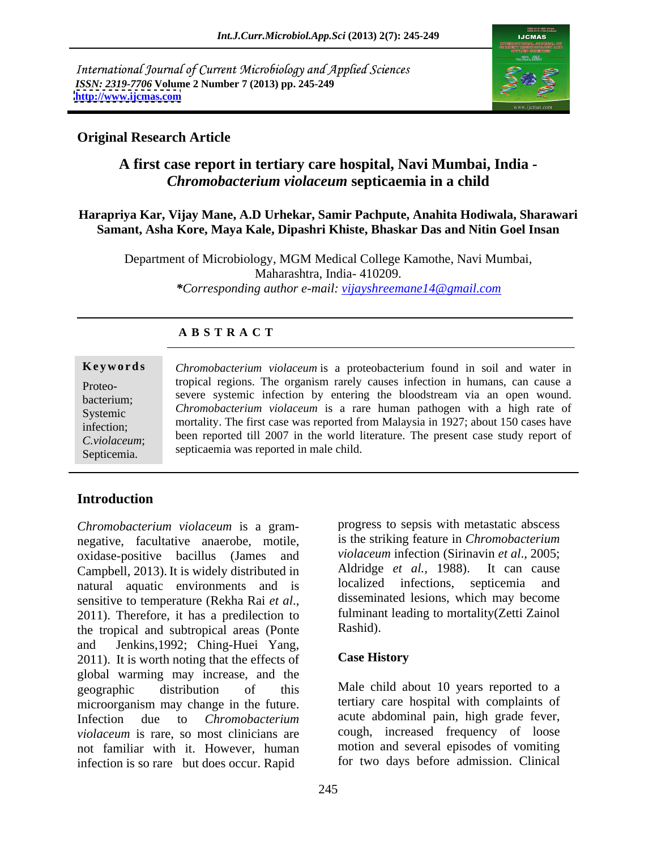International Journal of Current Microbiology and Applied Sciences *ISSN: 2319-7706* **Volume 2 Number 7 (2013) pp. 245-249 <http://www.ijcmas.com>**



## **Original Research Article**

# **A first case report in tertiary care hospital, Navi Mumbai, India -** *Chromobacterium violaceum* **septicaemia in a child**

## **Harapriya Kar, Vijay Mane, A.D Urhekar, Samir Pachpute, Anahita Hodiwala, Sharawari Samant, Asha Kore, Maya Kale, Dipashri Khiste, Bhaskar Das and Nitin Goel Insan**

Department of Microbiology, MGM Medical College Kamothe, Navi Mumbai, Maharashtra, India- 410209. *\*Corresponding author e-mail: vijayshreemane14@gmail.com*

| <b>ABSTRACT</b> |  |  |
|-----------------|--|--|
|-----------------|--|--|

**Keywords** Chromobacterium violaceum is a proteobacterium found in soil and water in Proteo- tropical regions. The organism rarely causes infection in humans, can cause a bacterium; severe systemic infection by entering the bloodstream via an open wound. Systemic *Chromobacterium violaceum* is a rare human pathogen with a high rate of mortality. The first case was reported from Malaysia in 1927; about 150 cases have<br>infection; *C.violaceum*; been reported till 2007 in the world literature. The present case study report of **Keywords**<br> **Chromobacterium** *violaceum* is a proteobacterium found in soil and water in<br>
tropical regions. The organism rarely causes infection in humans, can cause a<br>
severe systemic infection by entering the bloodstrea septicaemia was reported in male child.

# **Introduction**

*Chromobacterium violaceum* is a gram-<br>
<u>negative</u> facultative anaerobe motile is the striking feature in *Chromobacterium* negative, facultative anaerobe, motile, oxidase-positive bacillus (James and Campbell, 2013). It is widely distributed in Aldridge *et al.*, 1988). It can cause<br>natural aquatic environments and is localized infections, septicemia and natural aquatic environments and is sensitive to temperature (Rekha Rai *et al.*,<br>2011). Therefore, it has a predilection to fulminant leading to mortality (Zetti Zainol the tropical and subtropical areas (Ponte and Jenkins, 1992; Ching-Huei Yang,<br>
2011). It is worth noting that the effects of **Case History** global warming may increase, and the geographic distribution of this Male child about 10 years reported to a microorganism may change in the future. Infection due to *Chromobacterium*  acute abdominal pain, high grade fever, *violaceum* is rare, so most clinicians are cough, increased frequency of loose not familiar with it. However, human infection is so rare but does occur. Rapid

progress to sepsis with metastatic abscess is the striking feature in *Chromobacterium violaceum* infection (Sirinavin *et al*., 2005; Aldridge *et al.,* 1988). It can cause localized infections, septicemia disseminated lesions, which may become fulminant leading to mortality(Zetti Zainol Rashid).

## **Case History**

tertiary care hospital with complaints of motion and several episodes of vomiting for two days before admission. Clinical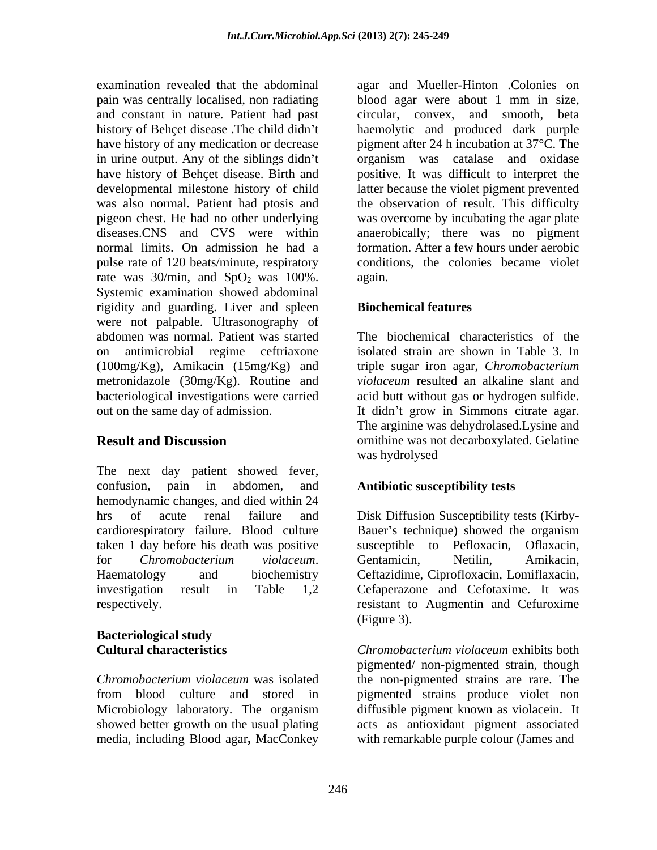and constant in nature. Patient had past circular, convex, and smooth, beta pulse rate of 120 beats/minute, respiratory rate was  $30/\text{min}$ , and  $SpO<sub>2</sub>$  was  $100\%$ . again. Systemic examination showed abdominal rigidity and guarding. Liver and spleen **Biochemical features** were not palpable. Ultrasonography of abdomen was normal. Patient was started The biochemical characteristics of the on antimicrobial regime ceftriaxone isolated strain are shown in Table 3. In (100mg/Kg), Amikacin (15mg/Kg) and metronidazole (30mg/Kg). Routine and bacteriological investigations were carried acid butt without gas or hydrogen sulfide. out on the same day of admission. It didn't grow in Simmons citrate agar.

The next day patient showed fever, confusion, pain in abdomen, and **Antibiotic susceptibility tests** hemodynamic changes, and died within 24 hrs of acute renal failure and Disk Diffusion Susceptibility tests (Kirby cardiorespiratory failure. Blood culture Bauer's technique) showed the organism taken 1 day before his death was positive for *Chromobacterium violaceum*. Haematology and biochemistry Ceftazidime, Ciprofloxacin, Lomiflaxacin, investigation result in Table 1,2 Cefaperazone and Cefotaxime. It was respectively. resistant to Augmentin and Cefuroxime

# **Bacteriological study**

media, including Blood agar**,** MacConkey

examination revealed that the abdominal agar and Mueller-Hinton .Colonies on pain was centrally localised, non radiating blood agar were about 1 mm in size, history of Behçet disease .The child didn't haemolytic and produced dark purple have history of any medication or decrease pigment after 24 h incubation at 37<sup>o</sup>C. The in urine output. Any of the siblings didn't organism was catalase and oxidase have history of Behçet disease. Birth and positive. It was difficult to interpret the developmental milestone history of child latter because the violet pigment prevented was also normal. Patient had ptosis and the observation of result. This difficulty pigeon chest. He had no other underlying was overcome by incubating the agar plate diseases.CNS and CVS were within anaerobically; there was no pigment normal limits. On admission he had a formation. After a few hours under aerobic circular, convex, and smooth, conditions, the colonies became violet again.

## **Biochemical features**

**Result and Discussion Conserversity** or example was not decarboxylated. Gelatine triple sugar iron agar, *Chromobacterium violaceum* resulted an alkaline slant and The arginine was dehydrolased.Lysine and was hydrolysed

susceptible to Pefloxacin, Gentamicin, Netilin, Amikacin, (Figure 3).

**Cultural characteristics** *Chromobacterium violaceum* exhibits both *Chromobacterium violaceum* was isolated the non-pigmented strains are rare. The from blood culture and stored in pigmented strains produce violet non Microbiology laboratory. The organism diffusible pigment known as violacein. It showed better growth on the usual plating acts as antioxidant pigment associated pigmented/ non-pigmented strain, though diffusible pigment known as violacein. It with remarkable purple colour (James and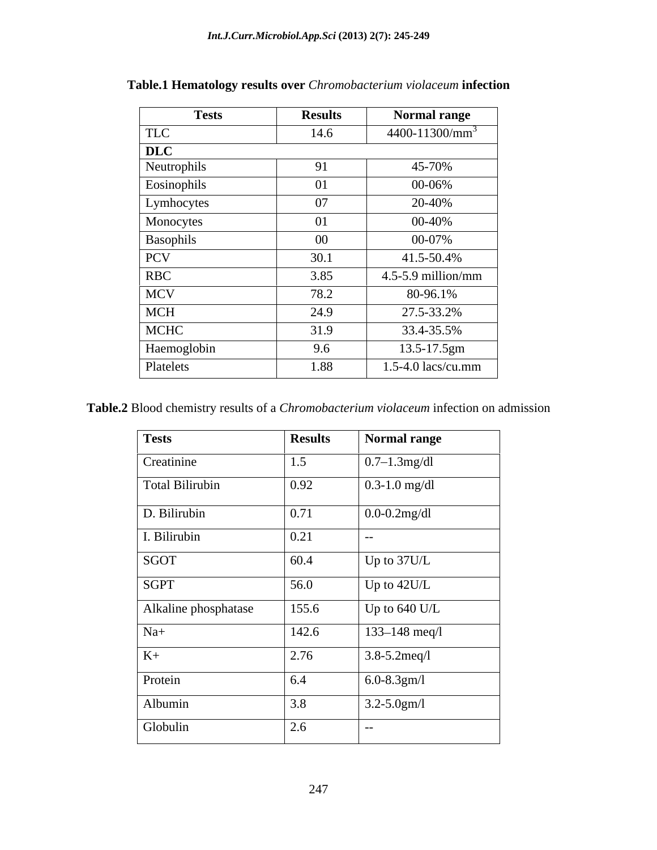| <b>Tests</b> | <b>Results</b> | <b>Normal range</b>    |
|--------------|----------------|------------------------|
| <b>TLC</b>   | 14.6           | $4400-11300/mm^3$      |
| DLC          |                |                        |
| Neutrophils  | 91             | 45-70%                 |
| Eosinophils  | 01             | 00-06%                 |
| Lymhocytes   | 07             | 20-40%                 |
| Monocytes    | 01             | 00-40%                 |
| Basophils    | $00\,$         | 00-07%                 |
| PCV          | 30.1           | 41.5-50.4%             |
| RBC          | 3.85           | $4.5 - 5.9$ million/mm |
| <b>MCV</b>   | 78.2           | 80-96.1%               |
| <b>MCH</b>   | 24.9           | 27.5-33.2%             |
| MCHC         | 31.9           | 33.4-35.5%             |
| Haemoglobin  | 9.6            | 13.5-17.5gm            |
| Platelets    | 1.88           | $1.5-4.0$ lacs/cu.mm   |

**Table.1 Hematology results over** *Chromobacterium violaceum* **infection**

**Table.2** Blood chemistry results of a *Chromobacterium violaceum* infection on admission

| <b>Tests</b>         | <b>Results</b> | <b>Normal range</b>                     |
|----------------------|----------------|-----------------------------------------|
| Creatinine           | 1.5            | $\left  0.7 - 1.3 \text{mg/dl} \right $ |
| Total Bilirubin      | 0.92           | $0.3 - 1.0$ mg/dl                       |
| D. Bilirubin         | 0.71           | $0.0 - 0.2$ mg/dl                       |
| I. Bilirubin         | 0.21           | $--$                                    |
| SGOT                 | 60.4           | Up to 37U/L                             |
| <b>SGPT</b>          | 56.0           | Up to $42U/L$                           |
| Alkaline phosphatase | 155.6          | Up to $640$ U/L                         |
| $Na+$                | 142.6          | $133 - 148$ meq/l                       |
| $K+$                 | 2.76           | $3.8 - 5.2$ meq/l                       |
| Protein              | 6.4            | $6.0 - 8.3$ gm/l                        |
| Albumin              | 3.8            | $3.2 - 5.0$ gm/l                        |
| Globulin             | 2.6            | $- -$ .                                 |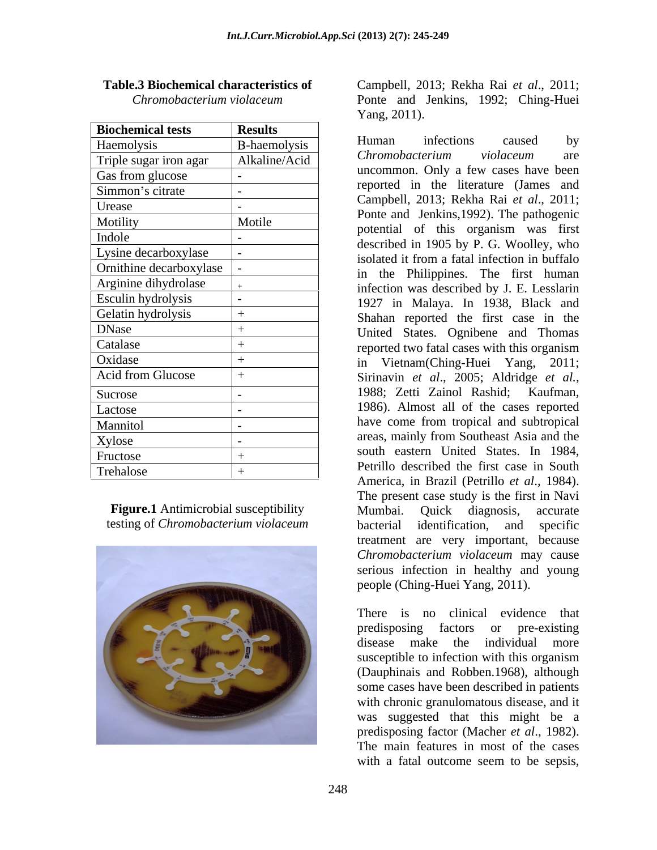| <b>Biochemical tests</b> | <b>Results</b> |                                                                                           |  |
|--------------------------|----------------|-------------------------------------------------------------------------------------------|--|
| Haemolysis               | B-haemolysis   | infections<br>Human<br>by<br>caused                                                       |  |
| Triple sugar iron agar   | Alkaline/Acid  | Chromobacterium<br>violaceum<br>are                                                       |  |
| Gas from glucose         |                | uncommon. Only a few cases have been                                                      |  |
| Simmon's citrate         |                | reported in the literature (James and                                                     |  |
| Urease                   |                | Campbell, 2013; Rekha Rai et al., 2011;                                                   |  |
| Motility                 | Motile         | Ponte and Jenkins, 1992). The pathogenic                                                  |  |
| Indole                   |                | potential of this organism was first                                                      |  |
| Lysine decarboxylase     |                | described in 1905 by P. G. Woolley, who<br>isolated it from a fatal infection in buffalo  |  |
| Ornithine decarboxylase  |                | in the Philippines. The first human                                                       |  |
| Arginine dihydrolase     |                | infection was described by J. E. Lesslarin                                                |  |
| Esculin hydrolysis       |                | 1927 in Malaya. In 1938, Black and                                                        |  |
| Gelatin hydrolysis       | $^{+}$         | Shahan reported the first case in the                                                     |  |
| <b>DNase</b>             | $^{+}$         | United States. Ognibene and Thomas                                                        |  |
| Catalase                 | $^{+}$         | reported two fatal cases with this organism                                               |  |
| Oxidase                  | $^{+}$         | in Vietnam (Ching-Huei Yang, 2011;                                                        |  |
| Acid from Glucose        | $^{+}$         | Sirinavin et al., 2005; Aldridge et al.,                                                  |  |
| Sucrose                  |                | 1988; Zetti Zainol Rashid; Kaufman,                                                       |  |
| Lactose                  |                | 1986). Almost all of the cases reported                                                   |  |
| Mannitol                 |                | have come from tropical and subtropical                                                   |  |
| Xylose                   |                | areas, mainly from Southeast Asia and the                                                 |  |
| Fructose                 | $^{+}$         | south eastern United States. In 1984,                                                     |  |
| Trehalose                | $^{+}$         | Petrillo described the first case in South                                                |  |
|                          |                | $\Lambda$ meaning in $D_{\text{max}}(1/D_{\text{min}}(1))$ is $\Lambda = 1$ and $\Lambda$ |  |



**Table.3 Biochemical characteristics of**  Campbell, 2013; Rekha Rai *et al*., 2011; *Chromobacterium violaceum* Ponte and Jenkins, 1992; Ching-Huei Yang, 2011).

Haemolysis -haemolysis Triple sugar iron agar Alkaline/Acid Chromobacterium violuceum are Gas from glucose  $\vert$  -  $\vert$  and  $\vert$  and  $\vert$  are cases have been  $Simmon's$  citrate  $\begin{vmatrix} - & 0 & 1 & 0 & 0 & 0 \\ 0 & 0 & 0 & 0 & 0 & 0 \\ 0 & 0 & 0 & 0 & 0 & 0 \\ 0 & 0 & 0 & 0 & 0 & 0 \end{vmatrix}$ Urease - Ponte and Jenkins, 1992). The pathogenic<br>Metitimeter Metites Motility Motile  $\begin{array}{c|c}\n\text{Motile} \\
\text{Motile} \\
\text{Rotential} \\
\text{Motial} \\
\text{Motial} \\
\text{Motial} \\
\text{Motial} \\
\text{Motial} \\
\text{Motial} \\
\text{Motial} \\
\text{Motial} \\
\text{Motial} \\
\text{Motial} \\
\text{Motial} \\
\text{Motial} \\
\text{Motial} \\
\text{Motial} \\
\text{Motial} \\
\text{Motial} \\
\text{Motial} \\
\text{Motial} \\
\text{Motial} \\
\text{Motial} \\
\text{Motial} \\
\text$  $\frac{\text{Indole}}{\text{L}}$  - described in 1905 by P. G. Woolley, who Lysine decarboxylase  $\overline{\phantom{a}}$  - isolated it from a fatal infection in buffalo Ornithine decarboxylase - in the Philippines. The first human Arginine dihydrolase  $+$  infection was described by J. E. Lesslarin Esculin hydrolysis - 1927 in Malaya. In 1938, Black and Gelatin hydrolysis + Shahan reported the first case in the DNase + United States. Ognibene and Thomas Catalase <sup>+</sup> the settlem of the reported two fatal cases with this organism Oxidase + in Vietnam(Ching-Huei Yang, 2011; Acid from Glucose  $\vert + \vert$  Sirinavin *et al.*, 2005; Aldridge *et al.*, Sucrose |- 1988; Zetti Zainol Rashid; Kaufman, 1986). Almost all of the cases reported Mannitol - have come from tropical and subtropical Xylose **- areas**, mainly from Southeast Asia and the Fructose  $+$  South eastern United States. In 1984, Trehalose  $+$  Petrilo described the first case in South Figure.1 Antimicrobial susceptibility Mumbai. Quick diagnosis, accurate testing of *Chromobacterium violaceum* Human infections caused by *Chromobacterium violaceum* are uncommon. Only a few cases have been reported in the literature (James and Campbell, 2013; Rekha Rai *et al*., 2011; potential of this organism was first 1988; Zetti Zainol Rashid; Kaufman, 1986). Almost all of the cases reported south eastern United States. In 1984, Petrillo described the first case in South America, in Brazil (Petrillo *et al*., 1984). The present case study is the first in Navi Mumbai. Quick diagnosis, accurate bacterial identification, and specific treatment are very important, because *Chromobacterium violaceum* may cause serious infection in healthy and young people (Ching-Huei Yang, 2011).

> There is no clinical evidence that predisposing factors or pre-existing disease make the individual more susceptible to infection with this organism (Dauphinais and Robben.1968), although some cases have been described in patients with chronic granulomatous disease, and it was suggested that this might be a predisposing factor (Macher *et al*., 1982). The main features in most of the cases with a fatal outcome seem to be sepsis,